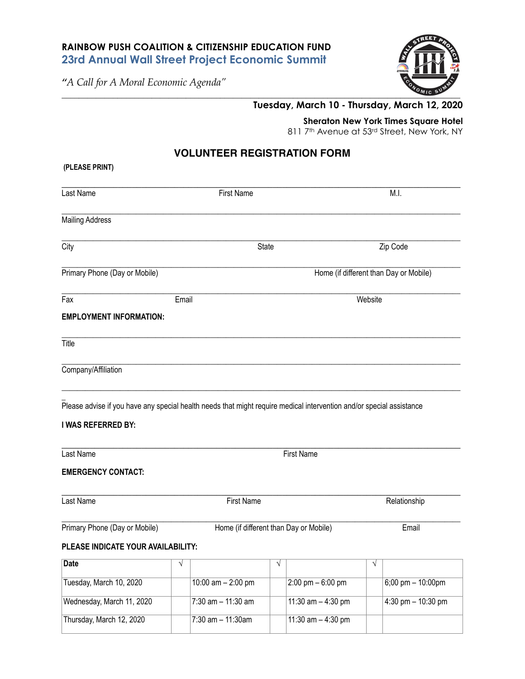## **RAINBOW PUSH COALITION & CITIZENSHIP EDUCATION FUND 23rd Annual Wall Street Project Economic Summit**

*"A Call for A Moral Economic Agenda"* 



## **Tuesday, March 10 - Thursday, March 12, 2020**

**Sheraton New York Times Square Hotel** 

811 7<sup>th</sup> Avenue at 53rd Street, New York, NY

## **VOLUNTEER REGISTRATION FORM**

| (PLEASE PRINT)                                                                                                                             |                                        |                       |   |                                     |          |                                        |  |
|--------------------------------------------------------------------------------------------------------------------------------------------|----------------------------------------|-----------------------|---|-------------------------------------|----------|----------------------------------------|--|
| Last Name                                                                                                                                  |                                        | <b>First Name</b>     |   |                                     |          | M.I.                                   |  |
| <b>Mailing Address</b>                                                                                                                     |                                        |                       |   |                                     |          |                                        |  |
| City                                                                                                                                       |                                        | State                 |   |                                     | Zip Code |                                        |  |
| Primary Phone (Day or Mobile)                                                                                                              |                                        |                       |   |                                     |          | Home (if different than Day or Mobile) |  |
| Fax                                                                                                                                        |                                        | Email                 |   |                                     | Website  |                                        |  |
| <b>EMPLOYMENT INFORMATION:</b>                                                                                                             |                                        |                       |   |                                     |          |                                        |  |
| Title                                                                                                                                      |                                        |                       |   |                                     |          |                                        |  |
| Company/Affiliation                                                                                                                        |                                        |                       |   |                                     |          |                                        |  |
| Please advise if you have any special health needs that might require medical intervention and/or special assistance<br>I WAS REFERRED BY: |                                        |                       |   |                                     |          |                                        |  |
| Last Name                                                                                                                                  | <b>First Name</b>                      |                       |   |                                     |          |                                        |  |
| <b>EMERGENCY CONTACT:</b>                                                                                                                  |                                        |                       |   |                                     |          |                                        |  |
| Last Name                                                                                                                                  | <b>First Name</b>                      |                       |   | Relationship                        |          |                                        |  |
| Primary Phone (Day or Mobile)                                                                                                              | Home (if different than Day or Mobile) |                       |   | Email                               |          |                                        |  |
| PLEASE INDICATE YOUR AVAILABILITY:                                                                                                         |                                        |                       |   |                                     |          |                                        |  |
| <b>Date</b>                                                                                                                                | V                                      |                       | V |                                     | V        |                                        |  |
| Tuesday, March 10, 2020                                                                                                                    |                                        | 10:00 am $- 2:00$ pm  |   | $2:00 \text{ pm} - 6:00 \text{ pm}$ |          | $6;00$ pm $- 10:00$ pm                 |  |
| Wednesday, March 11, 2020                                                                                                                  |                                        | 7:30 am - 11:30 am    |   | 11:30 $am - 4:30 pm$                |          | 4:30 pm $-$ 10:30 pm                   |  |
| Thursday, March 12, 2020                                                                                                                   |                                        | $7:30$ am $-11:30$ am |   | 11:30 $am - 4:30 pm$                |          |                                        |  |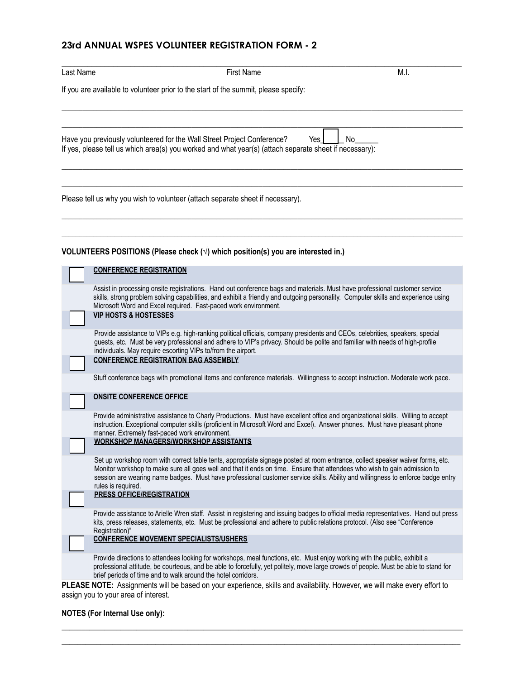# **23rd ANNUAL WSPES VOLUNTEER REGISTRATION FORM - 2**

|                                                                                                                                                                                                                                                                                                                                                                                                                                                               | <b>First Name</b> | M.I. |
|---------------------------------------------------------------------------------------------------------------------------------------------------------------------------------------------------------------------------------------------------------------------------------------------------------------------------------------------------------------------------------------------------------------------------------------------------------------|-------------------|------|
| If you are available to volunteer prior to the start of the summit, please specify:                                                                                                                                                                                                                                                                                                                                                                           |                   |      |
| Have you previously volunteered for the Wall Street Project Conference?<br>If yes, please tell us which area(s) you worked and what year(s) (attach separate sheet if necessary):                                                                                                                                                                                                                                                                             | Yes I             | No   |
| Please tell us why you wish to volunteer (attach separate sheet if necessary).                                                                                                                                                                                                                                                                                                                                                                                |                   |      |
| VOLUNTEERS POSITIONS (Please check $(\sqrt{})$ which position(s) you are interested in.)                                                                                                                                                                                                                                                                                                                                                                      |                   |      |
| <b>CONFERENCE REGISTRATION</b>                                                                                                                                                                                                                                                                                                                                                                                                                                |                   |      |
| Assist in processing onsite registrations. Hand out conference bags and materials. Must have professional customer service<br>skills, strong problem solving capabilities, and exhibit a friendly and outgoing personality. Computer skills and experience using<br>Microsoft Word and Excel required. Fast-paced work environment.<br><b>VIP HOSTS &amp; HOSTESSES</b>                                                                                       |                   |      |
| Provide assistance to VIPs e.g. high-ranking political officials, company presidents and CEOs, celebrities, speakers, special<br>guests, etc. Must be very professional and adhere to VIP's privacy. Should be polite and familiar with needs of high-profile<br>individuals. May require escorting VIPs to/from the airport.                                                                                                                                 |                   |      |
| <b>CONFERENCE REGISTRATION BAG ASSEMBLY</b>                                                                                                                                                                                                                                                                                                                                                                                                                   |                   |      |
| Stuff conference bags with promotional items and conference materials. Willingness to accept instruction. Moderate work pace.                                                                                                                                                                                                                                                                                                                                 |                   |      |
| <b>ONSITE CONFERENCE OFFICE</b>                                                                                                                                                                                                                                                                                                                                                                                                                               |                   |      |
| Provide administrative assistance to Charly Productions. Must have excellent office and organizational skills. Willing to accept<br>instruction. Exceptional computer skills (proficient in Microsoft Word and Excel). Answer phones. Must have pleasant phone<br>manner. Extremely fast-paced work environment.                                                                                                                                              |                   |      |
| <b>WORKSHOP MANAGERS/WORKSHOP ASSISTANTS</b>                                                                                                                                                                                                                                                                                                                                                                                                                  |                   |      |
| Set up workshop room with correct table tents, appropriate signage posted at room entrance, collect speaker waiver forms, etc.<br>Monitor workshop to make sure all goes well and that it ends on time. Ensure that attendees who wish to gain admission to<br>session are wearing name badges. Must have professional customer service skills. Ability and willingness to enforce badge entry<br>rules is required.                                          |                   |      |
| <b>PRESS OFFICE/REGISTRATION</b>                                                                                                                                                                                                                                                                                                                                                                                                                              |                   |      |
| Provide assistance to Arielle Wren staff. Assist in registering and issuing badges to official media representatives. Hand out press<br>kits, press releases, statements, etc. Must be professional and adhere to public relations protocol. (Also see "Conference<br>Registration)"                                                                                                                                                                          |                   |      |
| <b>CONFERENCE MOVEMENT SPECIALISTS/USHERS</b>                                                                                                                                                                                                                                                                                                                                                                                                                 |                   |      |
| Provide directions to attendees looking for workshops, meal functions, etc. Must enjoy working with the public, exhibit a<br>professional attitude, be courteous, and be able to forcefully, yet politely, move large crowds of people. Must be able to stand for<br>brief periods of time and to walk around the hotel corridors.<br>DI EASE NOTE: Accianments will be based on your experience skills and availability However we will make eveny offert to |                   |      |

**PLEASE NOTE:** Assignments will be based on your experience, skills and availability. However, we will make every effort to assign you to your area of interest.

\_\_\_\_\_\_\_\_\_\_\_\_\_\_\_\_\_\_\_\_\_\_\_\_\_\_\_\_\_\_\_\_\_\_\_\_\_\_\_\_\_\_\_\_\_\_\_\_\_\_\_\_\_\_\_\_\_\_\_\_\_\_\_\_\_\_\_\_\_\_\_\_\_\_\_\_\_\_\_\_\_\_\_\_\_\_\_\_\_\_\_\_\_\_\_\_\_\_\_\_\_\_ \_\_\_\_\_\_\_\_\_\_\_\_\_\_\_\_\_\_\_\_\_\_\_\_\_\_\_\_\_\_\_\_\_\_\_\_\_\_\_\_\_\_\_\_\_\_\_\_\_\_\_\_\_\_\_\_\_\_\_\_\_\_\_\_\_\_\_\_\_\_\_\_\_\_\_\_\_\_\_\_\_\_\_\_\_\_\_\_\_\_\_\_\_\_\_\_\_\_\_\_\_\_

### **NOTES (For Internal Use only):**